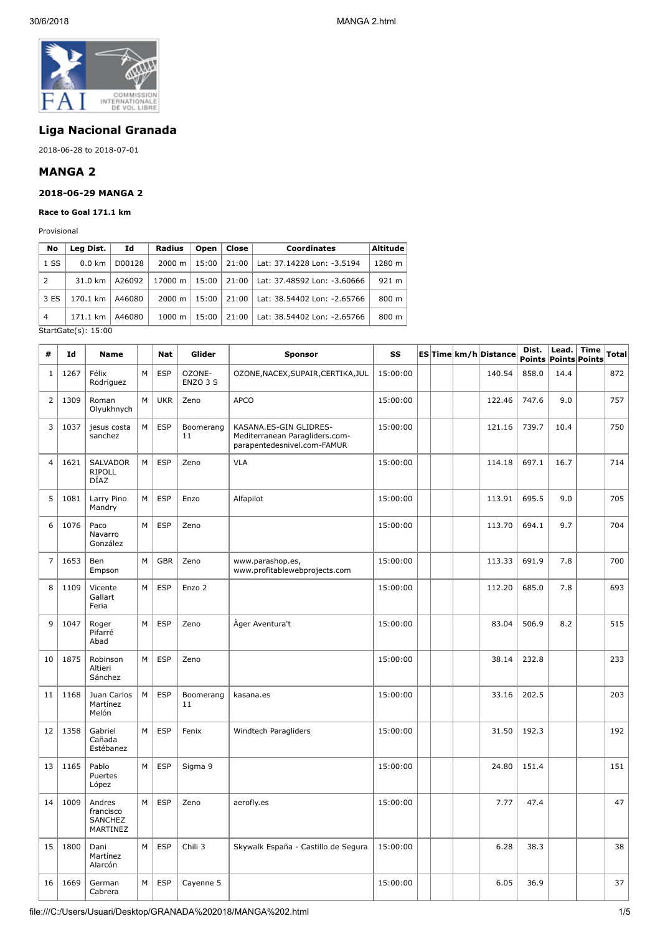

# **Liga Nacional Granada**

2018-06-28 to 2018-07-01

# **MANGA 2**

#### **2018-06-29 MANGA 2**

**Race to Goal 171.1 km**

Provisional

| No                   | Leg Dist.                                                   | Ιd     | Radius             | Open  | Close | <b>Coordinates</b>          | <b>Altitude</b> |  |  |
|----------------------|-------------------------------------------------------------|--------|--------------------|-------|-------|-----------------------------|-----------------|--|--|
| 1 <sub>S</sub>       | D00128<br>$0.0 \text{ km}$<br>31.0 km<br>170.1 km<br>A46080 |        | $2000 \; \text{m}$ | 15:00 | 21:00 | Lat: 37.14228 Lon: -3.5194  | 1280 m          |  |  |
| 2                    |                                                             |        | A26092<br>17000 m  |       | 21:00 | Lat: 37.48592 Lon: -3.60666 | 921 m           |  |  |
| 3 ES                 |                                                             |        | $2000 \; \text{m}$ | 15:00 | 21:00 | Lat: 38.54402 Lon: -2.65766 | 800 m           |  |  |
| $\overline{4}$       | 171.1 km                                                    | A46080 | $1000 \;{\rm m}$   | 15:00 | 21:00 | Lat: 38.54402 Lon: -2.65766 | 800 m           |  |  |
| $C+2+C+2(n)$ $15.00$ |                                                             |        |                    |       |       |                             |                 |  |  |

StartGate(s): 15:00

| #              | Id   | Name                                       |   | Nat        | Glider             | <b>Sponsor</b>                                                                          | SS       |  | ES Time km/h Distance | Dist. | Lead. | <b>Time</b><br>Points Points Points | Total |
|----------------|------|--------------------------------------------|---|------------|--------------------|-----------------------------------------------------------------------------------------|----------|--|-----------------------|-------|-------|-------------------------------------|-------|
| $\mathbf{1}$   | 1267 | Félix<br>Rodriguez                         | M | <b>ESP</b> | OZONE-<br>ENZO 3 S | OZONE, NACEX, SUPAIR, CERTIKA, JUL                                                      | 15:00:00 |  | 140.54                | 858.0 | 14.4  |                                     | 872   |
| $\overline{2}$ | 1309 | Roman<br>Olyukhnych                        | M | <b>UKR</b> | Zeno               | <b>APCO</b>                                                                             | 15:00:00 |  | 122.46                | 747.6 | 9.0   |                                     | 757   |
| 3              | 1037 | jesus costa<br>sanchez                     | M | <b>ESP</b> | Boomerang<br>11    | KASANA.ES-GIN GLIDRES-<br>Mediterranean Paragliders.com-<br>parapentedesnivel.com-FAMUR | 15:00:00 |  | 121.16                | 739.7 | 10.4  |                                     | 750   |
| $\overline{4}$ | 1621 | <b>SALVADOR</b><br><b>RIPOLL</b><br>DÍAZ   | M | <b>ESP</b> | Zeno               | <b>VLA</b>                                                                              | 15:00:00 |  | 114.18                | 697.1 | 16.7  |                                     | 714   |
| 5              | 1081 | Larry Pino<br>Mandry                       | M | <b>ESP</b> | Enzo               | Alfapilot                                                                               | 15:00:00 |  | 113.91                | 695.5 | 9.0   |                                     | 705   |
| 6              | 1076 | Paco<br>Navarro<br>González                | M | <b>ESP</b> | Zeno               |                                                                                         | 15:00:00 |  | 113.70                | 694.1 | 9.7   |                                     | 704   |
| $\overline{7}$ | 1653 | Ben<br>Empson                              | M | <b>GBR</b> | Zeno               | www.parashop.es,<br>www.profitablewebprojects.com                                       | 15:00:00 |  | 113.33                | 691.9 | 7.8   |                                     | 700   |
| 8              | 1109 | Vicente<br>Gallart<br>Feria                | M | <b>ESP</b> | Enzo 2             |                                                                                         | 15:00:00 |  | 112.20                | 685.0 | 7.8   |                                     | 693   |
| 9              | 1047 | Roger<br>Pifarré<br>Abad                   | M | <b>ESP</b> | Zeno               | Åger Aventura't                                                                         | 15:00:00 |  | 83.04                 | 506.9 | 8.2   |                                     | 515   |
| 10             | 1875 | Robinson<br>Altieri<br>Sánchez             | M | <b>ESP</b> | Zeno               |                                                                                         | 15:00:00 |  | 38.14                 | 232.8 |       |                                     | 233   |
| 11             | 1168 | Juan Carlos<br>Martínez<br>Melón           | M | <b>ESP</b> | Boomerang<br>11    | kasana.es                                                                               | 15:00:00 |  | 33.16                 | 202.5 |       |                                     | 203   |
| 12             | 1358 | Gabriel<br>Cañada<br>Estébanez             | M | <b>ESP</b> | Fenix              | Windtech Paragliders                                                                    | 15:00:00 |  | 31.50                 | 192.3 |       |                                     | 192   |
| 13             | 1165 | Pablo<br>Puertes<br>López                  | M | <b>ESP</b> | Sigma 9            |                                                                                         | 15:00:00 |  | 24.80                 | 151.4 |       |                                     | 151   |
| 14             | 1009 | Andres<br>francisco<br>SANCHEZ<br>MARTINEZ | M | <b>ESP</b> | Zeno               | aerofly.es                                                                              | 15:00:00 |  | 7.77                  | 47.4  |       |                                     | 47    |
| 15             | 1800 | Dani<br>Martínez<br>Alarcón                | M | <b>ESP</b> | Chili 3            | Skywalk España - Castillo de Segura                                                     | 15:00:00 |  | 6.28                  | 38.3  |       |                                     | 38    |
| 16             | 1669 | German<br>Cabrera                          | M | <b>ESP</b> | Cayenne 5          |                                                                                         | 15:00:00 |  | 6.05                  | 36.9  |       |                                     | 37    |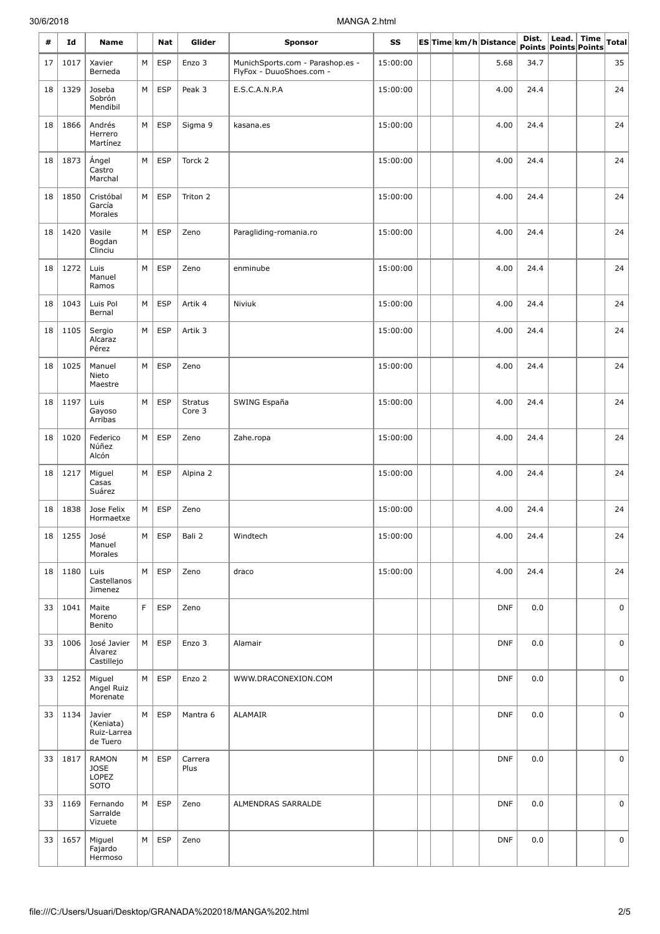#### 30/6/2018 MANGA 2.html

| #  | Id   | <b>Name</b>                                    |   | Nat        | Glider                   | <b>Sponsor</b>                                               | SS       |  | ES Time km/h Distance | Dist.<br>Points Points Points | Lead. | <b>Time</b> | <b>Total</b> |
|----|------|------------------------------------------------|---|------------|--------------------------|--------------------------------------------------------------|----------|--|-----------------------|-------------------------------|-------|-------------|--------------|
| 17 | 1017 | Xavier<br>Berneda                              | M | <b>ESP</b> | Enzo 3                   | MunichSports.com - Parashop.es -<br>FlyFox - DuuoShoes.com - | 15:00:00 |  | 5.68                  | 34.7                          |       |             | 35           |
| 18 | 1329 | Joseba<br>Sobrón<br>Mendibil                   | M | <b>ESP</b> | Peak 3                   | E.S.C.A.N.P.A                                                | 15:00:00 |  | 4.00                  | 24.4                          |       |             | 24           |
| 18 | 1866 | Andrés<br>Herrero<br>Martínez                  | М | <b>ESP</b> | Sigma 9                  | kasana.es                                                    | 15:00:00 |  | 4.00                  | 24.4                          |       |             | 24           |
| 18 | 1873 | Ángel<br>Castro<br>Marchal                     | M | <b>ESP</b> | Torck 2                  |                                                              | 15:00:00 |  | 4.00                  | 24.4                          |       |             | 24           |
| 18 | 1850 | Cristóbal<br>García<br>Morales                 | М | <b>ESP</b> | Triton 2                 |                                                              | 15:00:00 |  | 4.00                  | 24.4                          |       |             | 24           |
| 18 | 1420 | Vasile<br>Bogdan<br>Clinciu                    | M | <b>ESP</b> | Zeno                     | Paragliding-romania.ro                                       | 15:00:00 |  | 4.00                  | 24.4                          |       |             | 24           |
| 18 | 1272 | Luis<br>Manuel<br>Ramos                        | M | <b>ESP</b> | Zeno                     | enminube                                                     | 15:00:00 |  | 4.00                  | 24.4                          |       |             | 24           |
| 18 | 1043 | Luis Pol<br>Bernal                             | M | <b>ESP</b> | Artik 4                  | Niviuk                                                       | 15:00:00 |  | 4.00                  | 24.4                          |       |             | 24           |
| 18 | 1105 | Sergio<br>Alcaraz<br>Pérez                     | M | <b>ESP</b> | Artik 3                  |                                                              | 15:00:00 |  | 4.00                  | 24.4                          |       |             | 24           |
| 18 | 1025 | Manuel<br>Nieto<br>Maestre                     | М | <b>ESP</b> | Zeno                     |                                                              | 15:00:00 |  | 4.00                  | 24.4                          |       |             | 24           |
| 18 | 1197 | Luis<br>Gayoso<br>Arribas                      | M | <b>ESP</b> | <b>Stratus</b><br>Core 3 | SWING España                                                 | 15:00:00 |  | 4.00                  | 24.4                          |       |             | 24           |
| 18 | 1020 | Federico<br>Núñez<br>Alcón                     | M | <b>ESP</b> | Zeno                     | Zahe.ropa                                                    | 15:00:00 |  | 4.00                  | 24.4                          |       |             | 24           |
| 18 | 1217 | Miguel<br>Casas<br>Suárez                      | М | <b>ESP</b> | Alpina 2                 |                                                              | 15:00:00 |  | 4.00                  | 24.4                          |       |             | 24           |
| 18 | 1838 | Jose Felix<br>Hormaetxe                        | М | <b>ESP</b> | Zeno                     |                                                              | 15:00:00 |  | 4.00                  | 24.4                          |       |             | 24           |
| 18 | 1255 | José<br>Manuel<br>Morales                      | М | <b>ESP</b> | Bali 2                   | Windtech                                                     | 15:00:00 |  | 4.00                  | 24.4                          |       |             | 24           |
| 18 | 1180 | Luis<br>Castellanos<br>Jimenez                 | M | <b>ESP</b> | Zeno                     | draco                                                        | 15:00:00 |  | 4.00                  | 24.4                          |       |             | 24           |
| 33 | 1041 | Maite<br>Moreno<br>Benito                      | F | <b>ESP</b> | Zeno                     |                                                              |          |  | <b>DNF</b>            | 0.0                           |       |             | 0            |
| 33 | 1006 | José Javier<br>Álvarez<br>Castillejo           | М | <b>ESP</b> | Enzo 3                   | Alamair                                                      |          |  | <b>DNF</b>            | 0.0                           |       |             | 0            |
| 33 | 1252 | Miguel<br>Angel Ruiz<br>Morenate               | М | <b>ESP</b> | Enzo 2                   | WWW.DRACONEXION.COM                                          |          |  | <b>DNF</b>            | 0.0                           |       |             | 0            |
| 33 | 1134 | Javier<br>(Keniata)<br>Ruiz-Larrea<br>de Tuero | М | <b>ESP</b> | Mantra 6                 | <b>ALAMAIR</b>                                               |          |  | <b>DNF</b>            | 0.0                           |       |             | 0            |
| 33 | 1817 | <b>RAMON</b><br><b>JOSE</b><br>LOPEZ<br>SOTO   | М | <b>ESP</b> | Carrera<br>Plus          |                                                              |          |  | <b>DNF</b>            | 0.0                           |       |             | 0            |
| 33 | 1169 | Fernando<br>Sarralde<br>Vizuete                | M | <b>ESP</b> | Zeno                     | ALMENDRAS SARRALDE                                           |          |  | <b>DNF</b>            | 0.0                           |       |             | 0            |
| 33 | 1657 | Miguel<br>Fajardo<br>Hermoso                   | М | <b>ESP</b> | Zeno                     |                                                              |          |  | <b>DNF</b>            | 0.0                           |       |             | 0            |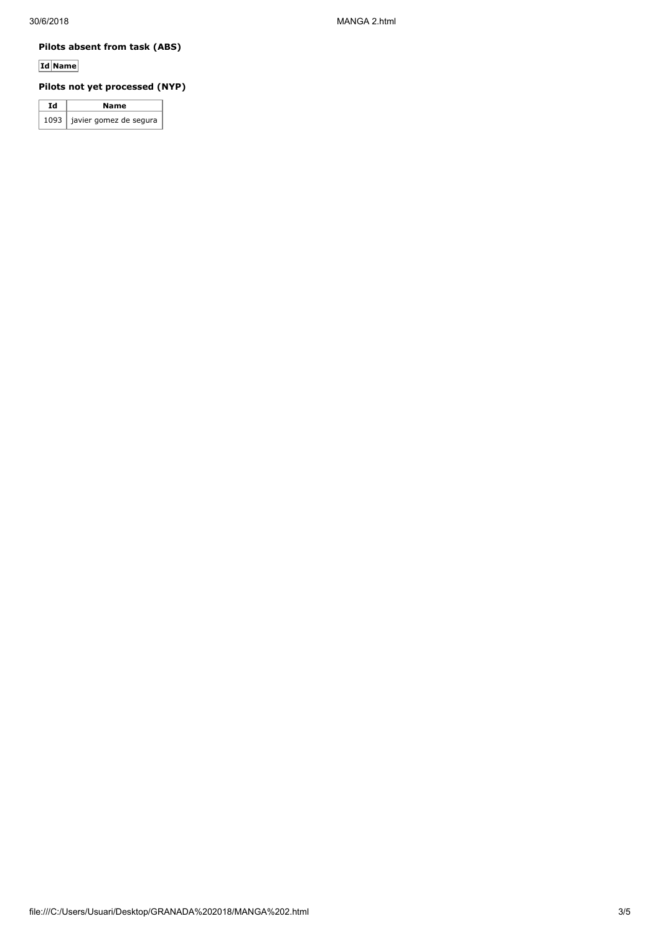### **Pilots absent from task (ABS)**

**Id Name**

# **Pilots not yet processed (NYP)**

| Ιd | Name                          |  |  |  |  |  |  |
|----|-------------------------------|--|--|--|--|--|--|
|    | 1093   javier gomez de segura |  |  |  |  |  |  |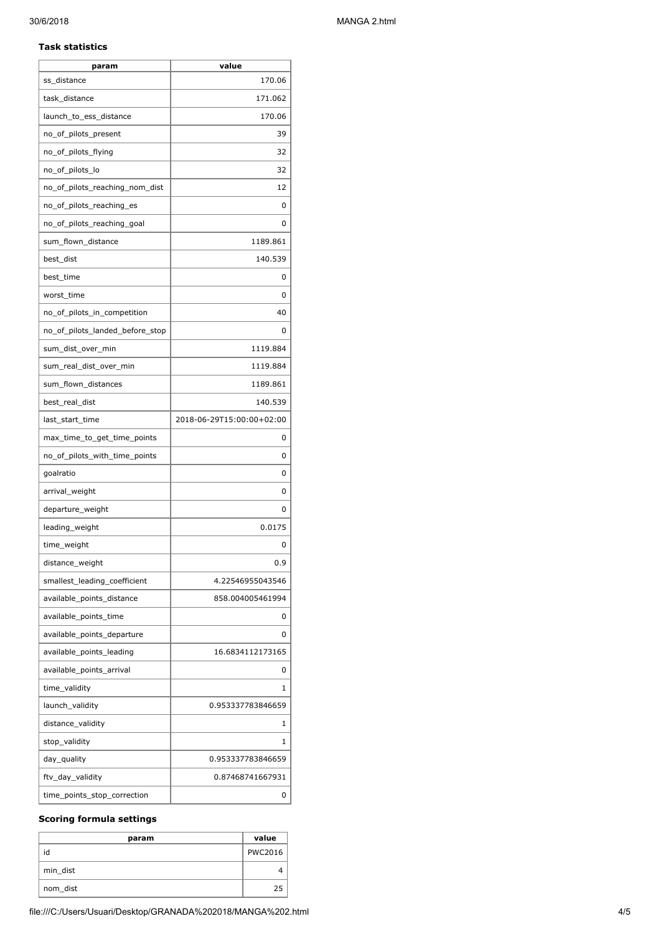#### **Task statistics**

| param                           | value                     |
|---------------------------------|---------------------------|
| ss distance                     | 170.06                    |
| task_distance                   | 171.062                   |
| launch_to_ess_distance          | 170.06                    |
| no_of_pilots_present            | 39                        |
| no_of_pilots_flying             | 32                        |
| no_of_pilots_lo                 | 32                        |
| no_of_pilots_reaching_nom_dist  | 12                        |
| no_of_pilots_reaching_es        | 0                         |
| no_of_pilots_reaching_goal      | 0                         |
| sum_flown_distance              | 1189.861                  |
| best_dist                       | 140.539                   |
| best_time                       | 0                         |
| worst_time                      | 0                         |
| no_of_pilots_in_competition     | 40                        |
| no_of_pilots_landed_before_stop | 0                         |
| sum_dist_over_min               | 1119.884                  |
| sum real dist over min          | 1119.884                  |
| sum_flown_distances             | 1189.861                  |
| best_real_dist                  | 140.539                   |
| last_start_time                 | 2018-06-29T15:00:00+02:00 |
| max_time_to_get_time_points     | 0                         |
| no_of_pilots_with_time_points   | 0                         |
| goalratio                       | 0                         |
| arrival_weight                  | 0                         |
| departure_weight                | 0                         |
| leading_weight                  | 0.0175                    |
| time_weight                     | 0                         |
| distance_weight                 | 0.9                       |
| smallest leading coefficient    | 4.22546955043546          |
| available_points_distance       | 858.004005461994          |
| available points time           | 0                         |
| available_points_departure      | 0                         |
| available_points_leading        | 16.6834112173165          |
| available_points_arrival        | 0                         |
| time_validity                   | 1                         |
| launch_validity                 | 0.953337783846659         |
| distance_validity               | 1                         |
| stop_validity                   | 1                         |
| day_quality                     | 0.953337783846659         |
| ftv_day_validity                | 0.87468741667931          |
| time_points_stop_correction     | 0                         |

#### **Scoring formula settings**

| param    | value          |
|----------|----------------|
| id       | <b>PWC2016</b> |
| min dist |                |
| nom_dist |                |

file:///C:/Users/Usuari/Desktop/GRANADA%202018/MANGA%202.html 4/5